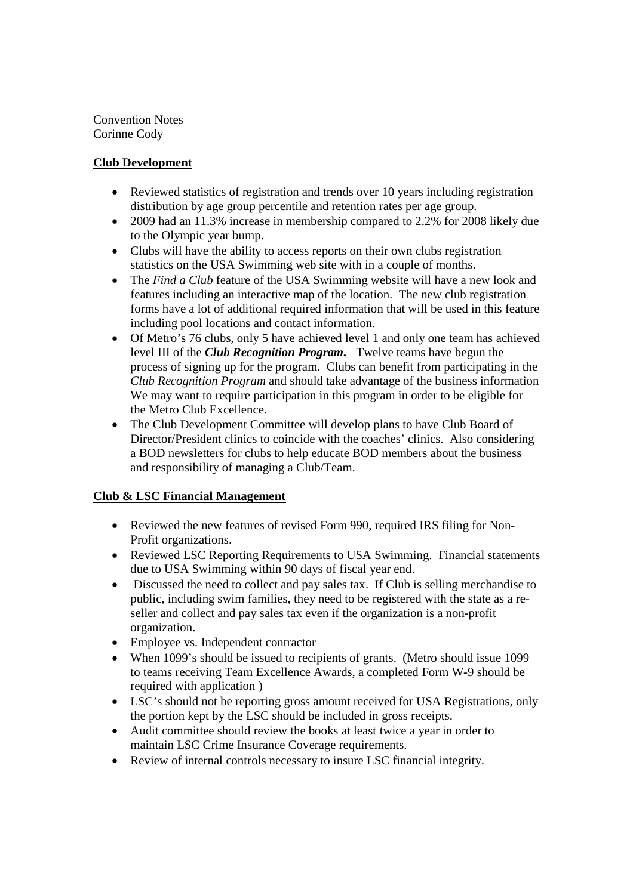Convention Notes Corinne Cody

## **Club Development**

- Reviewed statistics of registration and trends over 10 years including registration distribution by age group percentile and retention rates per age group.
- 2009 had an 11.3% increase in membership compared to 2.2% for 2008 likely due to the Olympic year bump.
- Clubs will have the ability to access reports on their own clubs registration statistics on the USA Swimming web site with in a couple of months.
- The *Find a Club* feature of the USA Swimming website will have a new look and features including an interactive map of the location. The new club registration forms have a lot of additional required information that will be used in this feature including pool locations and contact information.
- Of Metro's 76 clubs, only 5 have achieved level 1 and only one team has achieved level III of the *Club Recognition Program.* Twelve teams have begun the process of signing up for the program. Clubs can benefit from participating in the *Club Recognition Program* and should take advantage of the business information We may want to require participation in this program in order to be eligible for the Metro Club Excellence.
- The Club Development Committee will develop plans to have Club Board of Director/President clinics to coincide with the coaches' clinics. Also considering a BOD newsletters for clubs to help educate BOD members about the business and responsibility of managing a Club/Team.

## **Club & LSC Financial Management**

- Reviewed the new features of revised Form 990, required IRS filing for Non-Profit organizations.
- Reviewed LSC Reporting Requirements to USA Swimming. Financial statements due to USA Swimming within 90 days of fiscal year end.
- Discussed the need to collect and pay sales tax. If Club is selling merchandise to public, including swim families, they need to be registered with the state as a reseller and collect and pay sales tax even if the organization is a non-profit organization.
- Employee vs. Independent contractor
- When 1099's should be issued to recipients of grants. (Metro should issue 1099) to teams receiving Team Excellence Awards, a completed Form W-9 should be required with application )
- LSC's should not be reporting gross amount received for USA Registrations, only the portion kept by the LSC should be included in gross receipts.
- Audit committee should review the books at least twice a year in order to maintain LSC Crime Insurance Coverage requirements.
- Review of internal controls necessary to insure LSC financial integrity.